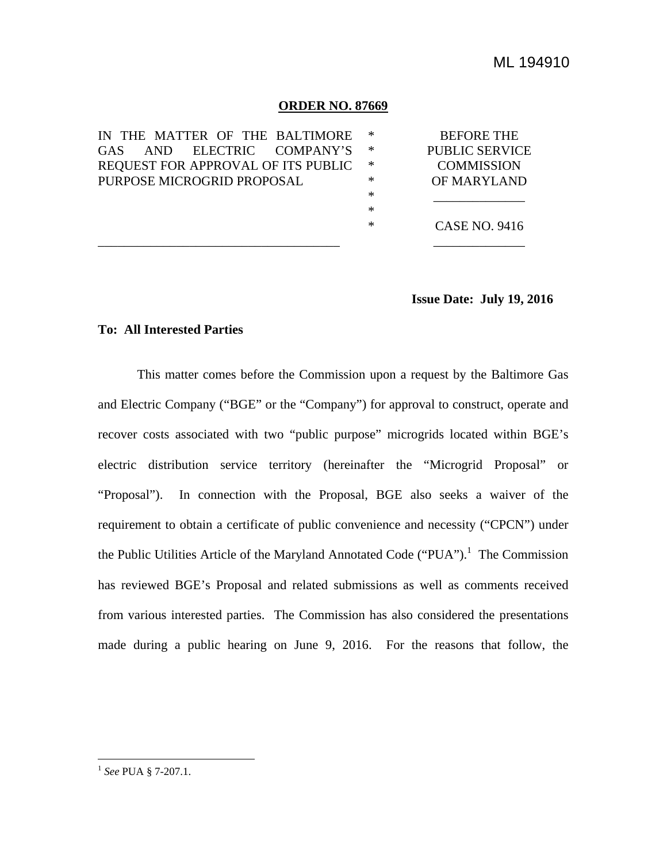### **ORDER NO. 87669**

| IN THE MATTER OF THE BALTIMORE     | -∗     | <b>BEFORE THE</b>     |
|------------------------------------|--------|-----------------------|
|                                    |        |                       |
| ELECTRIC COMPANY'S<br>GAS.<br>AND. | ∗      | <b>PUBLIC SERVICE</b> |
| REQUEST FOR APPROVAL OF ITS PUBLIC | -∗     | <b>COMMISSION</b>     |
| PURPOSE MICROGRID PROPOSAL         | ∗      | OF MARYLAND           |
|                                    | ∗      |                       |
|                                    | $\ast$ |                       |
|                                    | ∗      | <b>CASE NO. 9416</b>  |
|                                    |        |                       |

## **Issue Date: July 19, 2016**

### **To: All Interested Parties**

This matter comes before the Commission upon a request by the Baltimore Gas and Electric Company ("BGE" or the "Company") for approval to construct, operate and recover costs associated with two "public purpose" microgrids located within BGE's electric distribution service territory (hereinafter the "Microgrid Proposal" or "Proposal"). In connection with the Proposal, BGE also seeks a waiver of the requirement to obtain a certificate of public convenience and necessity ("CPCN") under the Public Utilities Article of the Maryland Annotated Code ("PUA").<sup>1</sup> The Commission has reviewed BGE's Proposal and related submissions as well as comments received from various interested parties. The Commission has also considered the presentations made during a public hearing on June 9, 2016. For the reasons that follow, the

<sup>1</sup> *See* PUA § 7-207.1.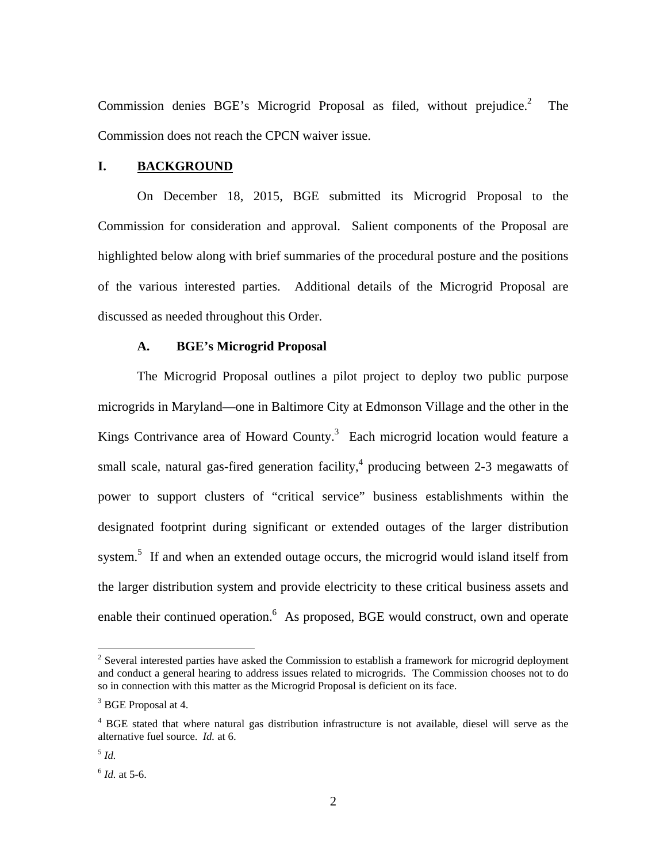Commission denies BGE's Microgrid Proposal as filed, without prejudice.<sup>2</sup> The Commission does not reach the CPCN waiver issue.

### **I. BACKGROUND**

On December 18, 2015, BGE submitted its Microgrid Proposal to the Commission for consideration and approval. Salient components of the Proposal are highlighted below along with brief summaries of the procedural posture and the positions of the various interested parties. Additional details of the Microgrid Proposal are discussed as needed throughout this Order.

### **A. BGE's Microgrid Proposal**

The Microgrid Proposal outlines a pilot project to deploy two public purpose microgrids in Maryland—one in Baltimore City at Edmonson Village and the other in the Kings Contrivance area of Howard County. $3$  Each microgrid location would feature a small scale, natural gas-fired generation facility,<sup>4</sup> producing between 2-3 megawatts of power to support clusters of "critical service" business establishments within the designated footprint during significant or extended outages of the larger distribution system.<sup>5</sup> If and when an extended outage occurs, the microgrid would island itself from the larger distribution system and provide electricity to these critical business assets and enable their continued operation.<sup>6</sup> As proposed, BGE would construct, own and operate

<sup>&</sup>lt;sup>2</sup> Several interested parties have asked the Commission to establish a framework for microgrid deployment and conduct a general hearing to address issues related to microgrids. The Commission chooses not to do so in connection with this matter as the Microgrid Proposal is deficient on its face.

<sup>&</sup>lt;sup>3</sup> BGE Proposal at 4.

<sup>&</sup>lt;sup>4</sup> BGE stated that where natural gas distribution infrastructure is not available, diesel will serve as the alternative fuel source. *Id.* at 6.

<sup>5</sup> *Id.*

<sup>6</sup> *Id.* at 5-6.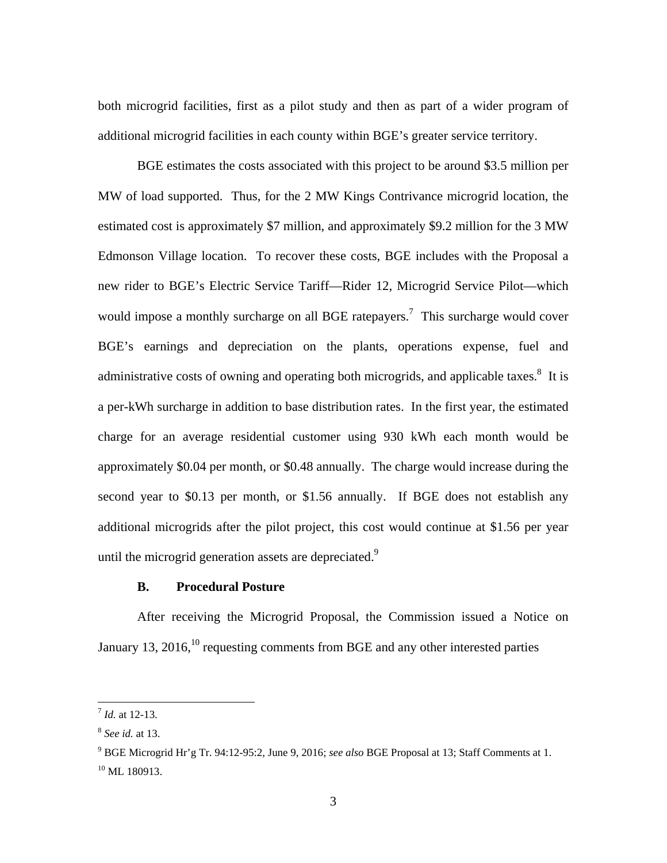both microgrid facilities, first as a pilot study and then as part of a wider program of additional microgrid facilities in each county within BGE's greater service territory.

BGE estimates the costs associated with this project to be around \$3.5 million per MW of load supported. Thus, for the 2 MW Kings Contrivance microgrid location, the estimated cost is approximately \$7 million, and approximately \$9.2 million for the 3 MW Edmonson Village location. To recover these costs, BGE includes with the Proposal a new rider to BGE's Electric Service Tariff—Rider 12, Microgrid Service Pilot—which would impose a monthly surcharge on all BGE ratepayers.<sup>7</sup> This surcharge would cover BGE's earnings and depreciation on the plants, operations expense, fuel and administrative costs of owning and operating both microgrids, and applicable taxes. $8\,$  It is a per-kWh surcharge in addition to base distribution rates. In the first year, the estimated charge for an average residential customer using 930 kWh each month would be approximately \$0.04 per month, or \$0.48 annually. The charge would increase during the second year to \$0.13 per month, or \$1.56 annually. If BGE does not establish any additional microgrids after the pilot project, this cost would continue at \$1.56 per year until the microgrid generation assets are depreciated. $9$ 

# **B. Procedural Posture**

After receiving the Microgrid Proposal, the Commission issued a Notice on January 13, 2016,<sup>10</sup> requesting comments from BGE and any other interested parties

<sup>7</sup> *Id.* at 12-13.

<sup>8</sup> *See id.* at 13.

<sup>9</sup> BGE Microgrid Hr'g Tr. 94:12-95:2, June 9, 2016; *see also* BGE Proposal at 13; Staff Comments at 1.  $10$  ML  $180913$ .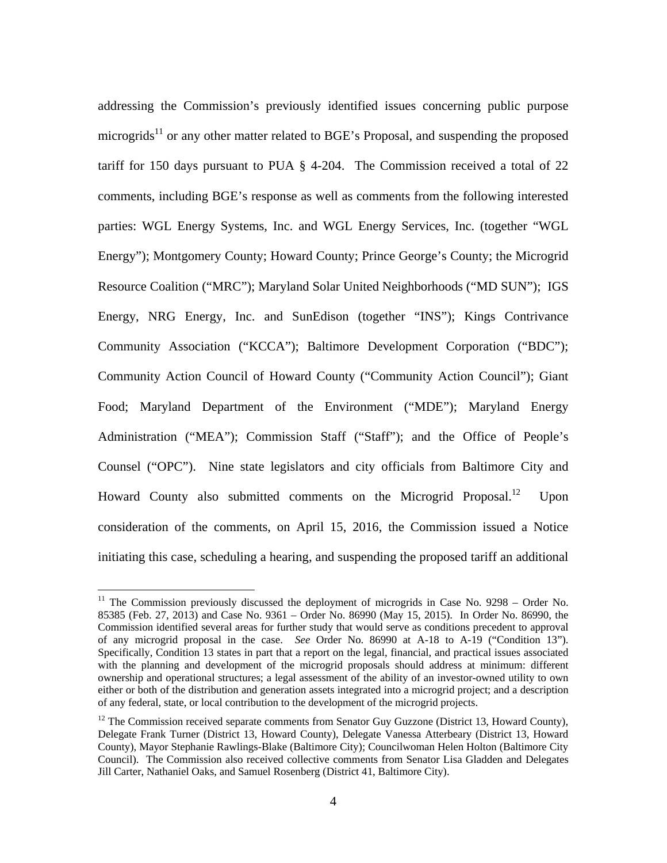addressing the Commission's previously identified issues concerning public purpose microgrids<sup>11</sup> or any other matter related to BGE's Proposal, and suspending the proposed tariff for 150 days pursuant to PUA § 4-204. The Commission received a total of 22 comments, including BGE's response as well as comments from the following interested parties: WGL Energy Systems, Inc. and WGL Energy Services, Inc. (together "WGL Energy"); Montgomery County; Howard County; Prince George's County; the Microgrid Resource Coalition ("MRC"); Maryland Solar United Neighborhoods ("MD SUN"); IGS Energy, NRG Energy, Inc. and SunEdison (together "INS"); Kings Contrivance Community Association ("KCCA"); Baltimore Development Corporation ("BDC"); Community Action Council of Howard County ("Community Action Council"); Giant Food; Maryland Department of the Environment ("MDE"); Maryland Energy Administration ("MEA"); Commission Staff ("Staff"); and the Office of People's Counsel ("OPC"). Nine state legislators and city officials from Baltimore City and Howard County also submitted comments on the Microgrid Proposal.<sup>12</sup> Upon consideration of the comments, on April 15, 2016, the Commission issued a Notice initiating this case, scheduling a hearing, and suspending the proposed tariff an additional

<sup>&</sup>lt;sup>11</sup> The Commission previously discussed the deployment of microgrids in Case No. 9298 – Order No. 85385 (Feb. 27, 2013) and Case No. 9361 – Order No. 86990 (May 15, 2015). In Order No. 86990, the Commission identified several areas for further study that would serve as conditions precedent to approval of any microgrid proposal in the case. *See* Order No. 86990 at A-18 to A-19 ("Condition 13"). Specifically, Condition 13 states in part that a report on the legal, financial, and practical issues associated with the planning and development of the microgrid proposals should address at minimum: different ownership and operational structures; a legal assessment of the ability of an investor-owned utility to own either or both of the distribution and generation assets integrated into a microgrid project; and a description of any federal, state, or local contribution to the development of the microgrid projects.

 $12$  The Commission received separate comments from Senator Guy Guzzone (District 13, Howard County), Delegate Frank Turner (District 13, Howard County), Delegate Vanessa Atterbeary (District 13, Howard County), Mayor Stephanie Rawlings-Blake (Baltimore City); Councilwoman Helen Holton (Baltimore City Council). The Commission also received collective comments from Senator Lisa Gladden and Delegates Jill Carter, Nathaniel Oaks, and Samuel Rosenberg (District 41, Baltimore City).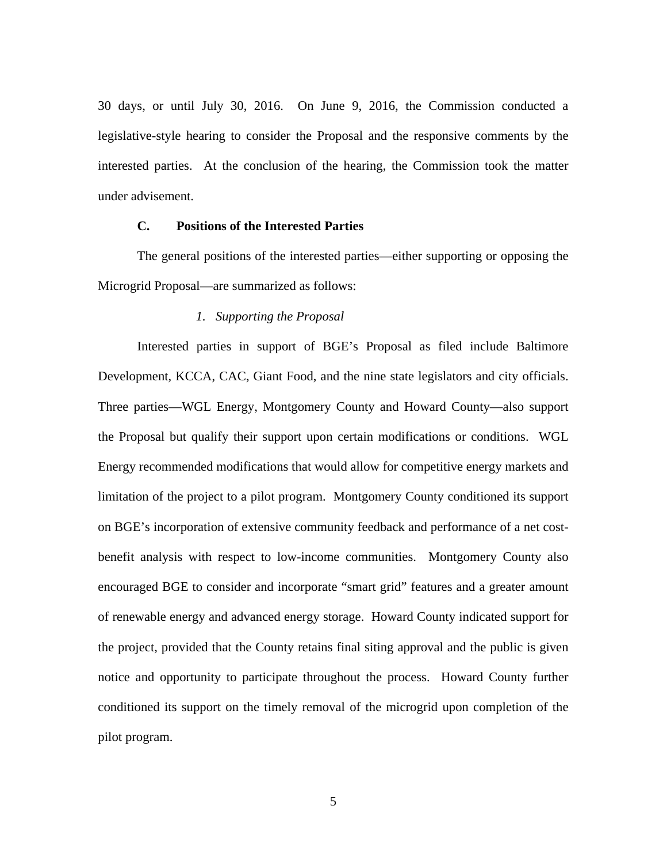30 days, or until July 30, 2016. On June 9, 2016, the Commission conducted a legislative-style hearing to consider the Proposal and the responsive comments by the interested parties. At the conclusion of the hearing, the Commission took the matter under advisement.

### **C. Positions of the Interested Parties**

The general positions of the interested parties—either supporting or opposing the Microgrid Proposal—are summarized as follows:

### *1. Supporting the Proposal*

Interested parties in support of BGE's Proposal as filed include Baltimore Development, KCCA, CAC, Giant Food, and the nine state legislators and city officials. Three parties—WGL Energy, Montgomery County and Howard County—also support the Proposal but qualify their support upon certain modifications or conditions. WGL Energy recommended modifications that would allow for competitive energy markets and limitation of the project to a pilot program. Montgomery County conditioned its support on BGE's incorporation of extensive community feedback and performance of a net costbenefit analysis with respect to low-income communities. Montgomery County also encouraged BGE to consider and incorporate "smart grid" features and a greater amount of renewable energy and advanced energy storage. Howard County indicated support for the project, provided that the County retains final siting approval and the public is given notice and opportunity to participate throughout the process. Howard County further conditioned its support on the timely removal of the microgrid upon completion of the pilot program.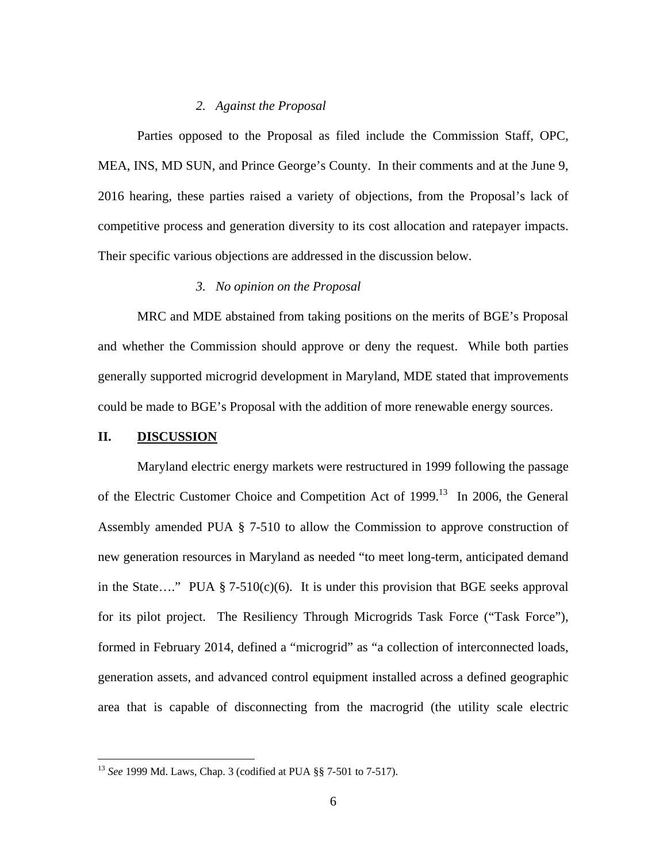### *2. Against the Proposal*

Parties opposed to the Proposal as filed include the Commission Staff, OPC, MEA, INS, MD SUN, and Prince George's County. In their comments and at the June 9, 2016 hearing, these parties raised a variety of objections, from the Proposal's lack of competitive process and generation diversity to its cost allocation and ratepayer impacts. Their specific various objections are addressed in the discussion below.

## *3. No opinion on the Proposal*

MRC and MDE abstained from taking positions on the merits of BGE's Proposal and whether the Commission should approve or deny the request. While both parties generally supported microgrid development in Maryland, MDE stated that improvements could be made to BGE's Proposal with the addition of more renewable energy sources.

### **II. DISCUSSION**

<u>.</u>

Maryland electric energy markets were restructured in 1999 following the passage of the Electric Customer Choice and Competition Act of 1999.<sup>13</sup> In 2006, the General Assembly amended PUA § 7-510 to allow the Commission to approve construction of new generation resources in Maryland as needed "to meet long-term, anticipated demand in the State…." PUA  $\S$  7-510(c)(6). It is under this provision that BGE seeks approval for its pilot project. The Resiliency Through Microgrids Task Force ("Task Force"), formed in February 2014, defined a "microgrid" as "a collection of interconnected loads, generation assets, and advanced control equipment installed across a defined geographic area that is capable of disconnecting from the macrogrid (the utility scale electric

<sup>13</sup> *See* 1999 Md. Laws, Chap. 3 (codified at PUA §§ 7-501 to 7-517).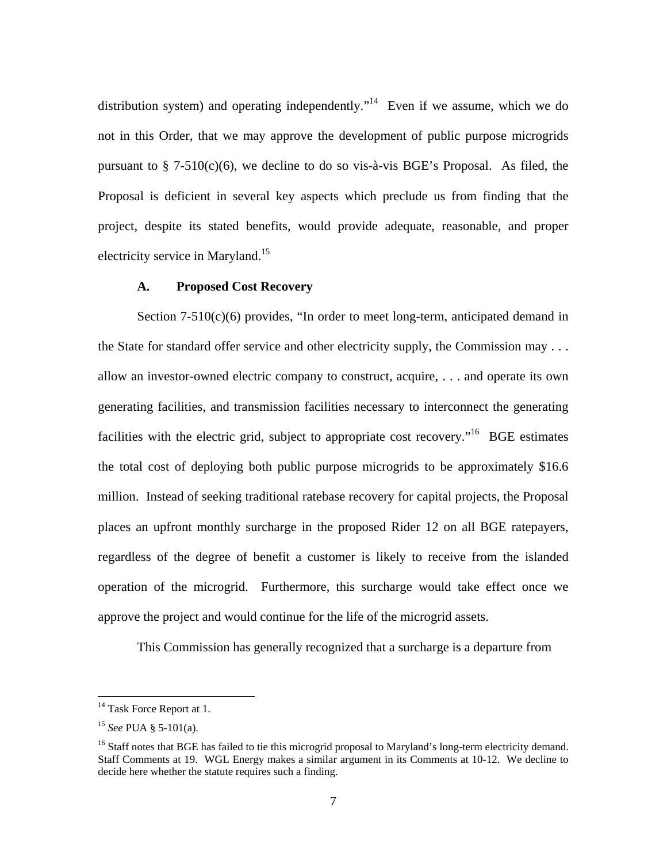distribution system) and operating independently."<sup>14</sup> Even if we assume, which we do not in this Order, that we may approve the development of public purpose microgrids pursuant to  $\S$  7-510(c)(6), we decline to do so vis-à-vis BGE's Proposal. As filed, the Proposal is deficient in several key aspects which preclude us from finding that the project, despite its stated benefits, would provide adequate, reasonable, and proper electricity service in Maryland.<sup>15</sup>

### **A. Proposed Cost Recovery**

Section  $7-510(c)(6)$  provides, "In order to meet long-term, anticipated demand in the State for standard offer service and other electricity supply, the Commission may . . . allow an investor-owned electric company to construct, acquire, . . . and operate its own generating facilities, and transmission facilities necessary to interconnect the generating facilities with the electric grid, subject to appropriate cost recovery.<sup> $16$ </sup> BGE estimates the total cost of deploying both public purpose microgrids to be approximately \$16.6 million. Instead of seeking traditional ratebase recovery for capital projects, the Proposal places an upfront monthly surcharge in the proposed Rider 12 on all BGE ratepayers, regardless of the degree of benefit a customer is likely to receive from the islanded operation of the microgrid. Furthermore, this surcharge would take effect once we approve the project and would continue for the life of the microgrid assets.

This Commission has generally recognized that a surcharge is a departure from

<sup>&</sup>lt;sup>14</sup> Task Force Report at 1.

<sup>15</sup> *See* PUA § 5-101(a).

<sup>&</sup>lt;sup>16</sup> Staff notes that BGE has failed to tie this microgrid proposal to Maryland's long-term electricity demand. Staff Comments at 19. WGL Energy makes a similar argument in its Comments at 10-12. We decline to decide here whether the statute requires such a finding.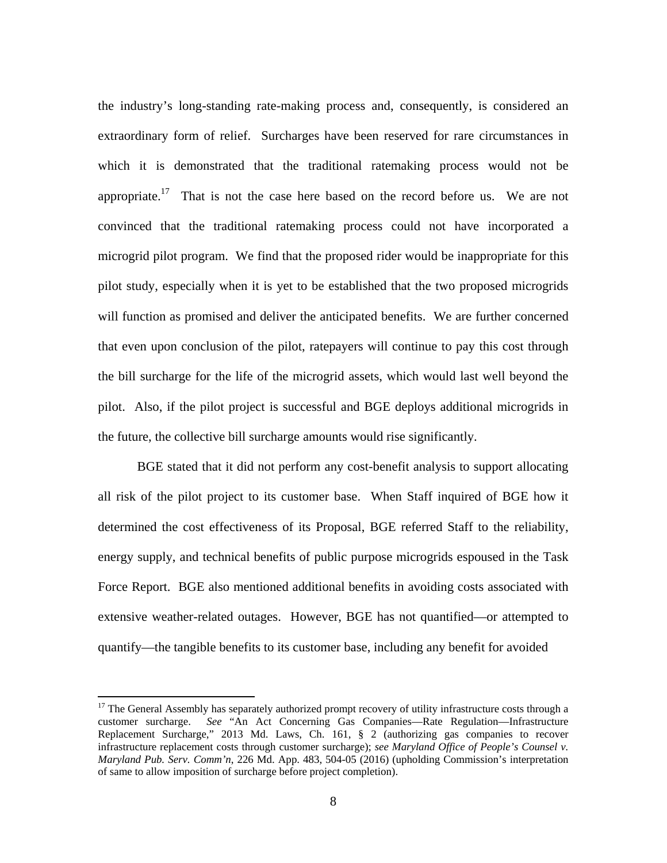the industry's long-standing rate-making process and, consequently, is considered an extraordinary form of relief. Surcharges have been reserved for rare circumstances in which it is demonstrated that the traditional ratemaking process would not be appropriate.<sup>17</sup> That is not the case here based on the record before us. We are not convinced that the traditional ratemaking process could not have incorporated a microgrid pilot program. We find that the proposed rider would be inappropriate for this pilot study, especially when it is yet to be established that the two proposed microgrids will function as promised and deliver the anticipated benefits. We are further concerned that even upon conclusion of the pilot, ratepayers will continue to pay this cost through the bill surcharge for the life of the microgrid assets, which would last well beyond the pilot. Also, if the pilot project is successful and BGE deploys additional microgrids in the future, the collective bill surcharge amounts would rise significantly.

BGE stated that it did not perform any cost-benefit analysis to support allocating all risk of the pilot project to its customer base. When Staff inquired of BGE how it determined the cost effectiveness of its Proposal, BGE referred Staff to the reliability, energy supply, and technical benefits of public purpose microgrids espoused in the Task Force Report. BGE also mentioned additional benefits in avoiding costs associated with extensive weather-related outages. However, BGE has not quantified—or attempted to quantify—the tangible benefits to its customer base, including any benefit for avoided

<sup>&</sup>lt;sup>17</sup> The General Assembly has separately authorized prompt recovery of utility infrastructure costs through a customer surcharge. *See* "An Act Concerning Gas Companies—Rate Regulation—Infrastructure Replacement Surcharge," 2013 Md. Laws, Ch. 161, § 2 (authorizing gas companies to recover infrastructure replacement costs through customer surcharge); *see Maryland Office of People's Counsel v. Maryland Pub. Serv. Comm'n*, 226 Md. App. 483, 504-05 (2016) (upholding Commission's interpretation of same to allow imposition of surcharge before project completion).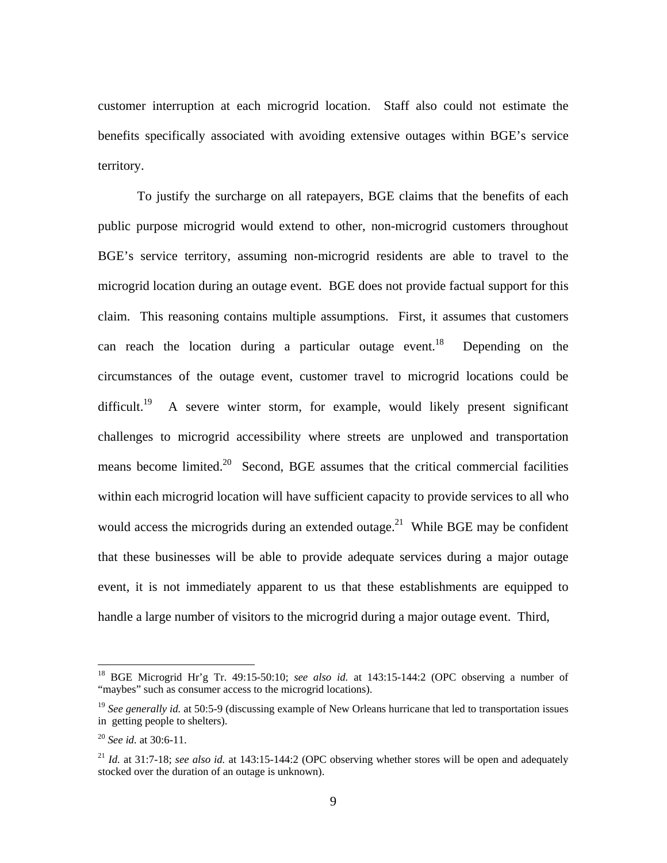customer interruption at each microgrid location. Staff also could not estimate the benefits specifically associated with avoiding extensive outages within BGE's service territory.

To justify the surcharge on all ratepayers, BGE claims that the benefits of each public purpose microgrid would extend to other, non-microgrid customers throughout BGE's service territory, assuming non-microgrid residents are able to travel to the microgrid location during an outage event. BGE does not provide factual support for this claim. This reasoning contains multiple assumptions. First, it assumes that customers can reach the location during a particular outage event.<sup>18</sup> Depending on the circumstances of the outage event, customer travel to microgrid locations could be difficult.<sup>19</sup> A severe winter storm, for example, would likely present significant challenges to microgrid accessibility where streets are unplowed and transportation means become limited.<sup>20</sup> Second, BGE assumes that the critical commercial facilities within each microgrid location will have sufficient capacity to provide services to all who would access the microgrids during an extended outage.<sup>21</sup> While BGE may be confident that these businesses will be able to provide adequate services during a major outage event, it is not immediately apparent to us that these establishments are equipped to handle a large number of visitors to the microgrid during a major outage event. Third,

<sup>18</sup> BGE Microgrid Hr'g Tr. 49:15-50:10; *see also id.* at 143:15-144:2 (OPC observing a number of "maybes" such as consumer access to the microgrid locations).

<sup>&</sup>lt;sup>19</sup> See generally id. at 50:5-9 (discussing example of New Orleans hurricane that led to transportation issues in getting people to shelters).

<sup>20</sup> *See id.* at 30:6-11.

<sup>21</sup> *Id.* at 31:7-18; *see also id.* at 143:15-144:2 (OPC observing whether stores will be open and adequately stocked over the duration of an outage is unknown).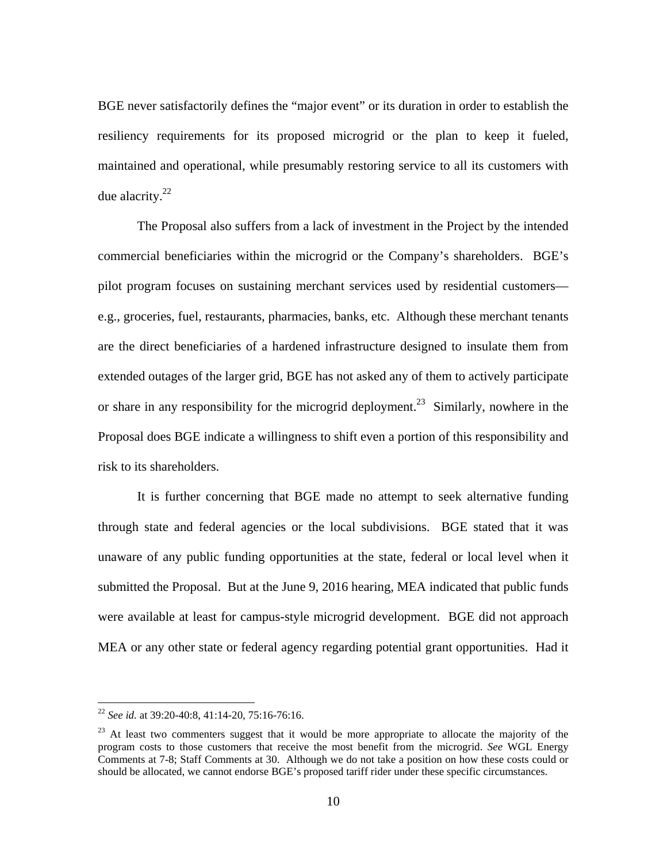BGE never satisfactorily defines the "major event" or its duration in order to establish the resiliency requirements for its proposed microgrid or the plan to keep it fueled, maintained and operational, while presumably restoring service to all its customers with due alacrity. $22$ 

The Proposal also suffers from a lack of investment in the Project by the intended commercial beneficiaries within the microgrid or the Company's shareholders. BGE's pilot program focuses on sustaining merchant services used by residential customers e.g., groceries, fuel, restaurants, pharmacies, banks, etc. Although these merchant tenants are the direct beneficiaries of a hardened infrastructure designed to insulate them from extended outages of the larger grid, BGE has not asked any of them to actively participate or share in any responsibility for the microgrid deployment.<sup>23</sup> Similarly, nowhere in the Proposal does BGE indicate a willingness to shift even a portion of this responsibility and risk to its shareholders.

It is further concerning that BGE made no attempt to seek alternative funding through state and federal agencies or the local subdivisions. BGE stated that it was unaware of any public funding opportunities at the state, federal or local level when it submitted the Proposal. But at the June 9, 2016 hearing, MEA indicated that public funds were available at least for campus-style microgrid development. BGE did not approach MEA or any other state or federal agency regarding potential grant opportunities. Had it

<sup>22</sup> *See id.* at 39:20-40:8, 41:14-20, 75:16-76:16.

 $23$  At least two commenters suggest that it would be more appropriate to allocate the majority of the program costs to those customers that receive the most benefit from the microgrid. *See* WGL Energy Comments at 7-8; Staff Comments at 30. Although we do not take a position on how these costs could or should be allocated, we cannot endorse BGE's proposed tariff rider under these specific circumstances.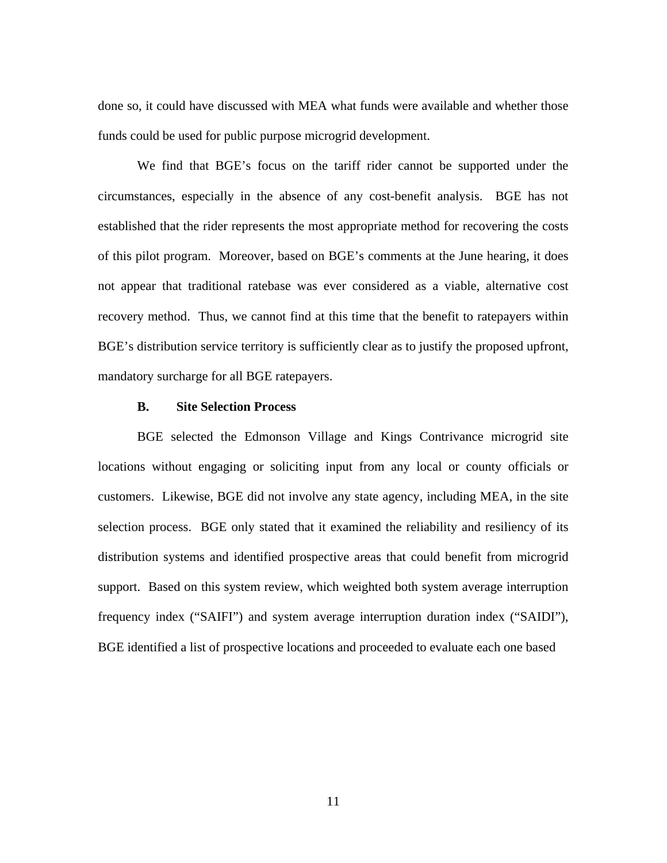done so, it could have discussed with MEA what funds were available and whether those funds could be used for public purpose microgrid development.

We find that BGE's focus on the tariff rider cannot be supported under the circumstances, especially in the absence of any cost-benefit analysis. BGE has not established that the rider represents the most appropriate method for recovering the costs of this pilot program. Moreover, based on BGE's comments at the June hearing, it does not appear that traditional ratebase was ever considered as a viable, alternative cost recovery method. Thus, we cannot find at this time that the benefit to ratepayers within BGE's distribution service territory is sufficiently clear as to justify the proposed upfront, mandatory surcharge for all BGE ratepayers.

### **B. Site Selection Process**

BGE selected the Edmonson Village and Kings Contrivance microgrid site locations without engaging or soliciting input from any local or county officials or customers. Likewise, BGE did not involve any state agency, including MEA, in the site selection process. BGE only stated that it examined the reliability and resiliency of its distribution systems and identified prospective areas that could benefit from microgrid support. Based on this system review, which weighted both system average interruption frequency index ("SAIFI") and system average interruption duration index ("SAIDI"), BGE identified a list of prospective locations and proceeded to evaluate each one based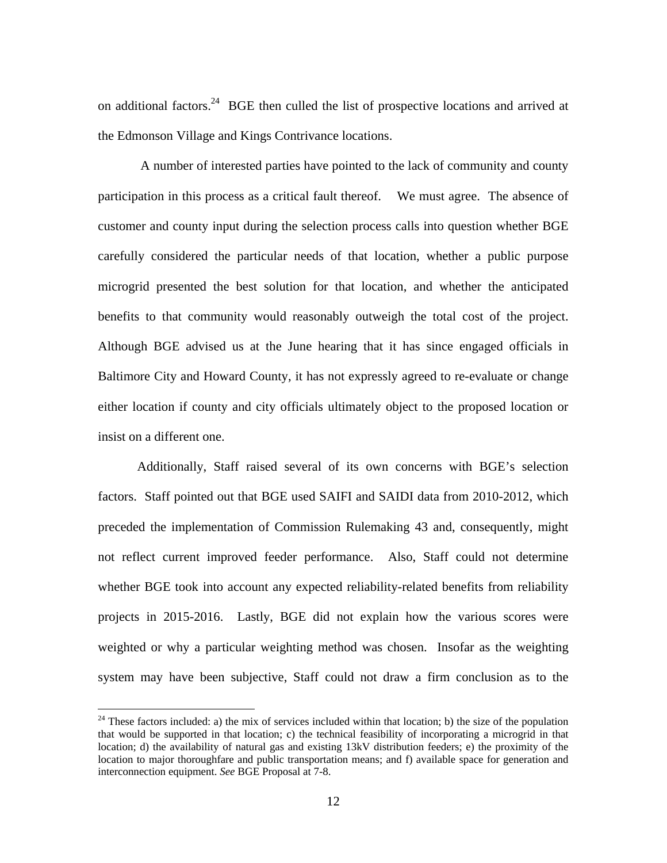on additional factors.<sup>24</sup> BGE then culled the list of prospective locations and arrived at the Edmonson Village and Kings Contrivance locations.

 A number of interested parties have pointed to the lack of community and county participation in this process as a critical fault thereof. We must agree. The absence of customer and county input during the selection process calls into question whether BGE carefully considered the particular needs of that location, whether a public purpose microgrid presented the best solution for that location, and whether the anticipated benefits to that community would reasonably outweigh the total cost of the project. Although BGE advised us at the June hearing that it has since engaged officials in Baltimore City and Howard County, it has not expressly agreed to re-evaluate or change either location if county and city officials ultimately object to the proposed location or insist on a different one.

Additionally, Staff raised several of its own concerns with BGE's selection factors. Staff pointed out that BGE used SAIFI and SAIDI data from 2010-2012, which preceded the implementation of Commission Rulemaking 43 and, consequently, might not reflect current improved feeder performance. Also, Staff could not determine whether BGE took into account any expected reliability-related benefits from reliability projects in 2015-2016. Lastly, BGE did not explain how the various scores were weighted or why a particular weighting method was chosen. Insofar as the weighting system may have been subjective, Staff could not draw a firm conclusion as to the

 $24$  These factors included: a) the mix of services included within that location; b) the size of the population that would be supported in that location; c) the technical feasibility of incorporating a microgrid in that location; d) the availability of natural gas and existing 13kV distribution feeders; e) the proximity of the location to major thoroughfare and public transportation means; and f) available space for generation and interconnection equipment. *See* BGE Proposal at 7-8.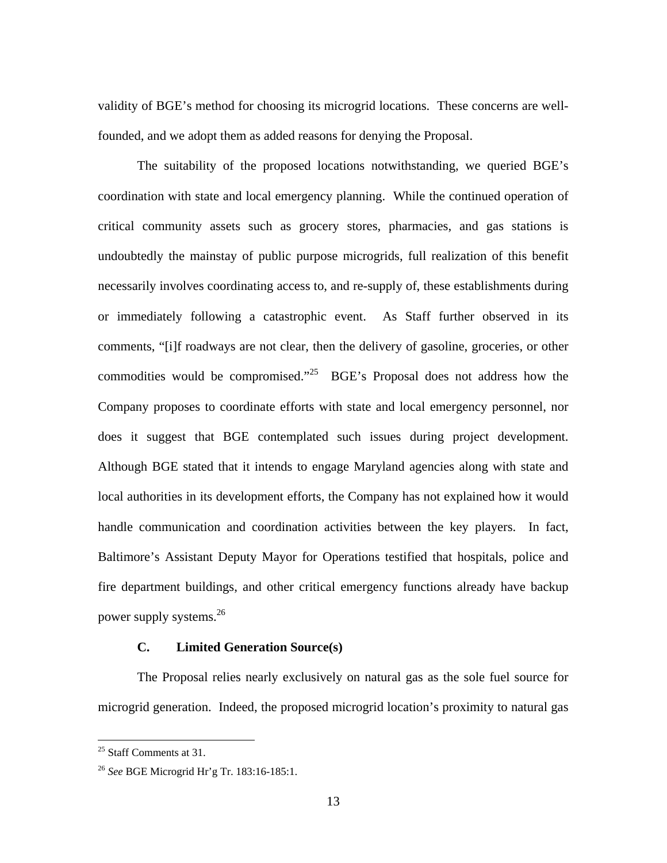validity of BGE's method for choosing its microgrid locations. These concerns are wellfounded, and we adopt them as added reasons for denying the Proposal.

The suitability of the proposed locations notwithstanding, we queried BGE's coordination with state and local emergency planning. While the continued operation of critical community assets such as grocery stores, pharmacies, and gas stations is undoubtedly the mainstay of public purpose microgrids, full realization of this benefit necessarily involves coordinating access to, and re-supply of, these establishments during or immediately following a catastrophic event. As Staff further observed in its comments, "[i]f roadways are not clear, then the delivery of gasoline, groceries, or other commodities would be compromised."<sup>25</sup> BGE's Proposal does not address how the Company proposes to coordinate efforts with state and local emergency personnel, nor does it suggest that BGE contemplated such issues during project development. Although BGE stated that it intends to engage Maryland agencies along with state and local authorities in its development efforts, the Company has not explained how it would handle communication and coordination activities between the key players. In fact, Baltimore's Assistant Deputy Mayor for Operations testified that hospitals, police and fire department buildings, and other critical emergency functions already have backup power supply systems.26

# **C. Limited Generation Source(s)**

The Proposal relies nearly exclusively on natural gas as the sole fuel source for microgrid generation. Indeed, the proposed microgrid location's proximity to natural gas

1

<sup>&</sup>lt;sup>25</sup> Staff Comments at 31.

<sup>26</sup> *See* BGE Microgrid Hr'g Tr. 183:16-185:1.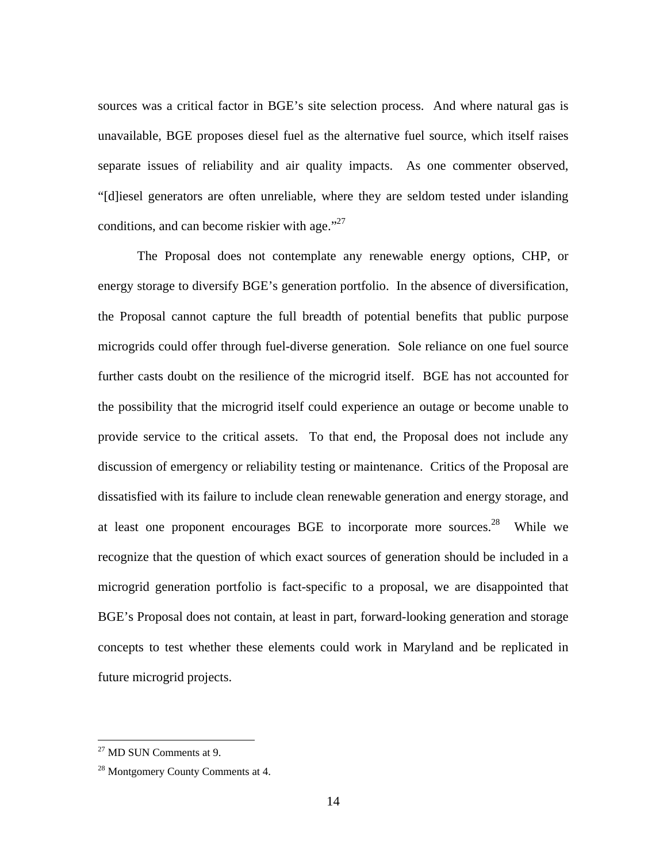sources was a critical factor in BGE's site selection process. And where natural gas is unavailable, BGE proposes diesel fuel as the alternative fuel source, which itself raises separate issues of reliability and air quality impacts. As one commenter observed, "[d]iesel generators are often unreliable, where they are seldom tested under islanding conditions, and can become riskier with age. $127$ 

The Proposal does not contemplate any renewable energy options, CHP, or energy storage to diversify BGE's generation portfolio. In the absence of diversification, the Proposal cannot capture the full breadth of potential benefits that public purpose microgrids could offer through fuel-diverse generation. Sole reliance on one fuel source further casts doubt on the resilience of the microgrid itself. BGE has not accounted for the possibility that the microgrid itself could experience an outage or become unable to provide service to the critical assets. To that end, the Proposal does not include any discussion of emergency or reliability testing or maintenance. Critics of the Proposal are dissatisfied with its failure to include clean renewable generation and energy storage, and at least one proponent encourages BGE to incorporate more sources.<sup>28</sup> While we recognize that the question of which exact sources of generation should be included in a microgrid generation portfolio is fact-specific to a proposal, we are disappointed that BGE's Proposal does not contain, at least in part, forward-looking generation and storage concepts to test whether these elements could work in Maryland and be replicated in future microgrid projects.

 $27$  MD SUN Comments at 9.

<sup>&</sup>lt;sup>28</sup> Montgomery County Comments at 4.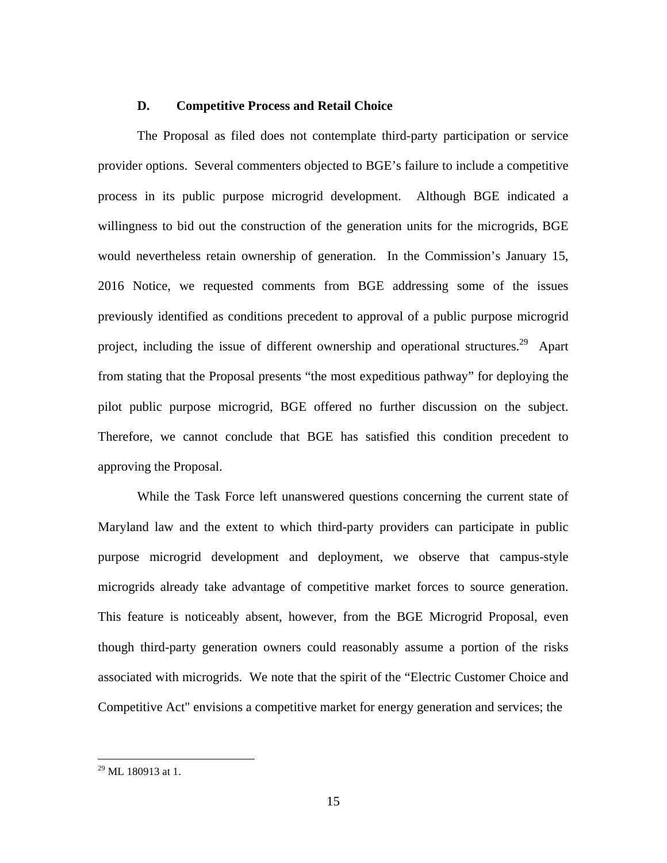### **D. Competitive Process and Retail Choice**

The Proposal as filed does not contemplate third-party participation or service provider options. Several commenters objected to BGE's failure to include a competitive process in its public purpose microgrid development. Although BGE indicated a willingness to bid out the construction of the generation units for the microgrids, BGE would nevertheless retain ownership of generation. In the Commission's January 15, 2016 Notice, we requested comments from BGE addressing some of the issues previously identified as conditions precedent to approval of a public purpose microgrid project, including the issue of different ownership and operational structures.<sup>29</sup> Apart from stating that the Proposal presents "the most expeditious pathway" for deploying the pilot public purpose microgrid, BGE offered no further discussion on the subject. Therefore, we cannot conclude that BGE has satisfied this condition precedent to approving the Proposal.

While the Task Force left unanswered questions concerning the current state of Maryland law and the extent to which third-party providers can participate in public purpose microgrid development and deployment, we observe that campus-style microgrids already take advantage of competitive market forces to source generation. This feature is noticeably absent, however, from the BGE Microgrid Proposal, even though third-party generation owners could reasonably assume a portion of the risks associated with microgrids. We note that the spirit of the "Electric Customer Choice and Competitive Act" envisions a competitive market for energy generation and services; the

 $^{29}$  ML, 180913 at 1.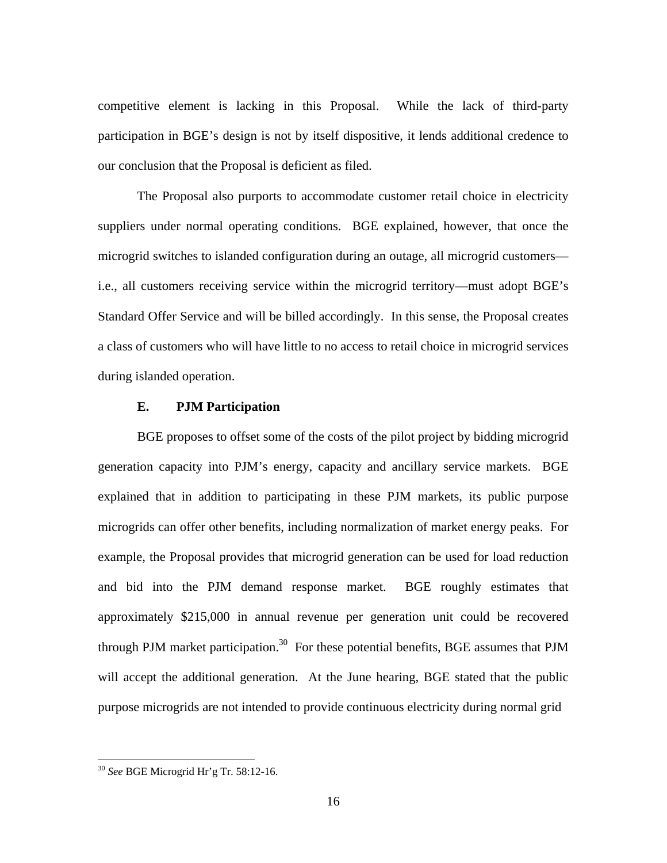competitive element is lacking in this Proposal. While the lack of third-party participation in BGE's design is not by itself dispositive, it lends additional credence to our conclusion that the Proposal is deficient as filed.

The Proposal also purports to accommodate customer retail choice in electricity suppliers under normal operating conditions. BGE explained, however, that once the microgrid switches to islanded configuration during an outage, all microgrid customers i.e., all customers receiving service within the microgrid territory—must adopt BGE's Standard Offer Service and will be billed accordingly. In this sense, the Proposal creates a class of customers who will have little to no access to retail choice in microgrid services during islanded operation.

## **E. PJM Participation**

BGE proposes to offset some of the costs of the pilot project by bidding microgrid generation capacity into PJM's energy, capacity and ancillary service markets. BGE explained that in addition to participating in these PJM markets, its public purpose microgrids can offer other benefits, including normalization of market energy peaks. For example, the Proposal provides that microgrid generation can be used for load reduction and bid into the PJM demand response market. BGE roughly estimates that approximately \$215,000 in annual revenue per generation unit could be recovered through PJM market participation.<sup>30</sup> For these potential benefits, BGE assumes that PJM will accept the additional generation. At the June hearing, BGE stated that the public purpose microgrids are not intended to provide continuous electricity during normal grid

<u>.</u>

<sup>30</sup> *See* BGE Microgrid Hr'g Tr. 58:12-16.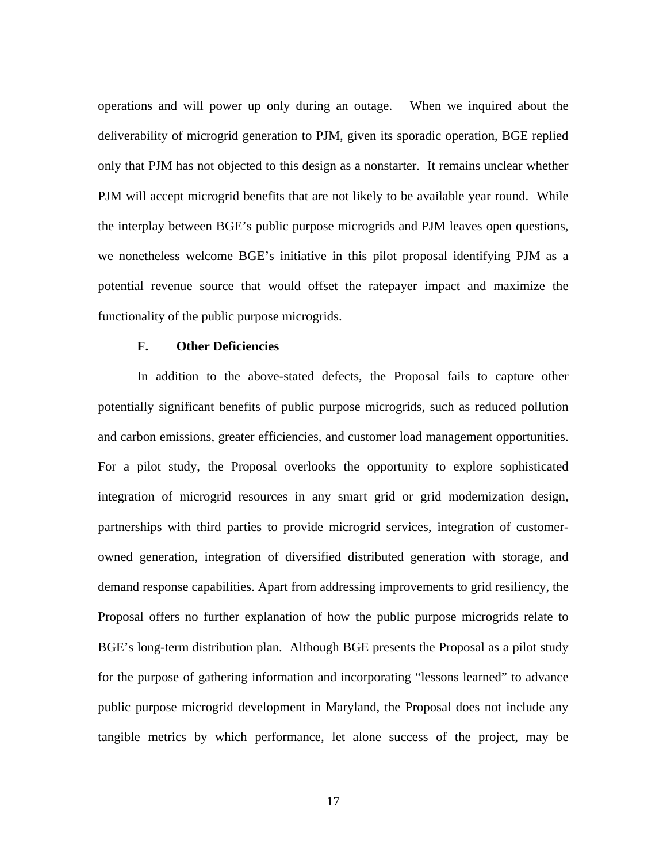operations and will power up only during an outage. When we inquired about the deliverability of microgrid generation to PJM, given its sporadic operation, BGE replied only that PJM has not objected to this design as a nonstarter. It remains unclear whether PJM will accept microgrid benefits that are not likely to be available year round. While the interplay between BGE's public purpose microgrids and PJM leaves open questions, we nonetheless welcome BGE's initiative in this pilot proposal identifying PJM as a potential revenue source that would offset the ratepayer impact and maximize the functionality of the public purpose microgrids.

### **F. Other Deficiencies**

In addition to the above-stated defects, the Proposal fails to capture other potentially significant benefits of public purpose microgrids, such as reduced pollution and carbon emissions, greater efficiencies, and customer load management opportunities. For a pilot study, the Proposal overlooks the opportunity to explore sophisticated integration of microgrid resources in any smart grid or grid modernization design, partnerships with third parties to provide microgrid services, integration of customerowned generation, integration of diversified distributed generation with storage, and demand response capabilities. Apart from addressing improvements to grid resiliency, the Proposal offers no further explanation of how the public purpose microgrids relate to BGE's long-term distribution plan. Although BGE presents the Proposal as a pilot study for the purpose of gathering information and incorporating "lessons learned" to advance public purpose microgrid development in Maryland, the Proposal does not include any tangible metrics by which performance, let alone success of the project, may be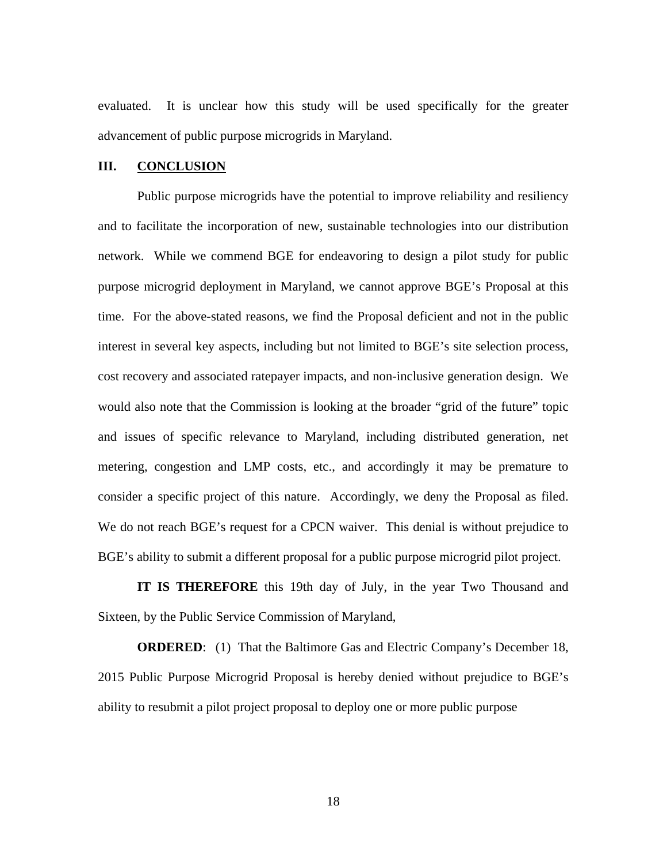evaluated. It is unclear how this study will be used specifically for the greater advancement of public purpose microgrids in Maryland.

### **III. CONCLUSION**

Public purpose microgrids have the potential to improve reliability and resiliency and to facilitate the incorporation of new, sustainable technologies into our distribution network. While we commend BGE for endeavoring to design a pilot study for public purpose microgrid deployment in Maryland, we cannot approve BGE's Proposal at this time. For the above-stated reasons, we find the Proposal deficient and not in the public interest in several key aspects, including but not limited to BGE's site selection process, cost recovery and associated ratepayer impacts, and non-inclusive generation design. We would also note that the Commission is looking at the broader "grid of the future" topic and issues of specific relevance to Maryland, including distributed generation, net metering, congestion and LMP costs, etc., and accordingly it may be premature to consider a specific project of this nature. Accordingly, we deny the Proposal as filed. We do not reach BGE's request for a CPCN waiver. This denial is without prejudice to BGE's ability to submit a different proposal for a public purpose microgrid pilot project.

**IT IS THEREFORE** this 19th day of July, in the year Two Thousand and Sixteen, by the Public Service Commission of Maryland,

**ORDERED:** (1) That the Baltimore Gas and Electric Company's December 18, 2015 Public Purpose Microgrid Proposal is hereby denied without prejudice to BGE's ability to resubmit a pilot project proposal to deploy one or more public purpose

18